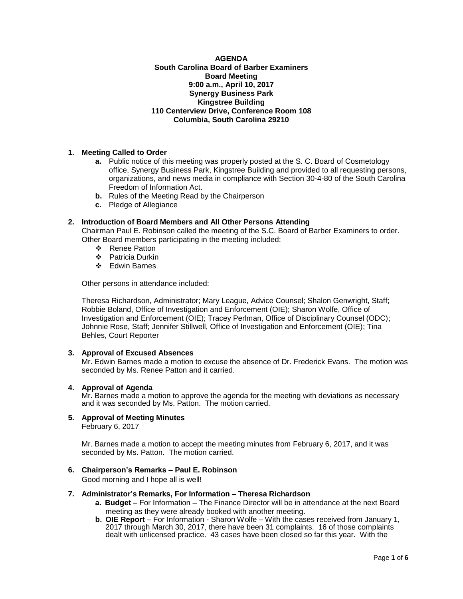#### **AGENDA South Carolina Board of Barber Examiners Board Meeting 9:00 a.m., April 10, 2017 Synergy Business Park Kingstree Building 110 Centerview Drive, Conference Room 108 Columbia, South Carolina 29210**

# **1. Meeting Called to Order**

- **a.** Public notice of this meeting was properly posted at the S. C. Board of Cosmetology office, Synergy Business Park, Kingstree Building and provided to all requesting persons, organizations, and news media in compliance with Section 30-4-80 of the South Carolina Freedom of Information Act.
- **b.** Rules of the Meeting Read by the Chairperson
- **c.** Pledge of Allegiance

# **2. Introduction of Board Members and All Other Persons Attending**

Chairman Paul E. Robinson called the meeting of the S.C. Board of Barber Examiners to order. Other Board members participating in the meeting included:

- ❖ Renee Patton
- Patricia Durkin
- Edwin Barnes

Other persons in attendance included:

Theresa Richardson, Administrator; Mary League, Advice Counsel; Shalon Genwright, Staff; Robbie Boland, Office of Investigation and Enforcement (OIE); Sharon Wolfe, Office of Investigation and Enforcement (OIE); Tracey Perlman, Office of Disciplinary Counsel (ODC); Johnnie Rose, Staff; Jennifer Stillwell, Office of Investigation and Enforcement (OIE); Tina Behles, Court Reporter

## **3. Approval of Excused Absences**

Mr. Edwin Barnes made a motion to excuse the absence of Dr. Frederick Evans. The motion was seconded by Ms. Renee Patton and it carried.

## **4. Approval of Agenda**

Mr. Barnes made a motion to approve the agenda for the meeting with deviations as necessary and it was seconded by Ms. Patton. The motion carried.

# **5. Approval of Meeting Minutes**

February 6, 2017

Mr. Barnes made a motion to accept the meeting minutes from February 6, 2017, and it was seconded by Ms. Patton. The motion carried.

## **6. Chairperson's Remarks – Paul E. Robinson**

Good morning and I hope all is well!

# **7. Administrator's Remarks, For Information – Theresa Richardson**

- **a. Budget** For Information The Finance Director will be in attendance at the next Board meeting as they were already booked with another meeting.
- **b. OIE Report**  For Information Sharon Wolfe With the cases received from January 1, 2017 through March 30, 2017, there have been 31 complaints. 16 of those complaints dealt with unlicensed practice. 43 cases have been closed so far this year. With the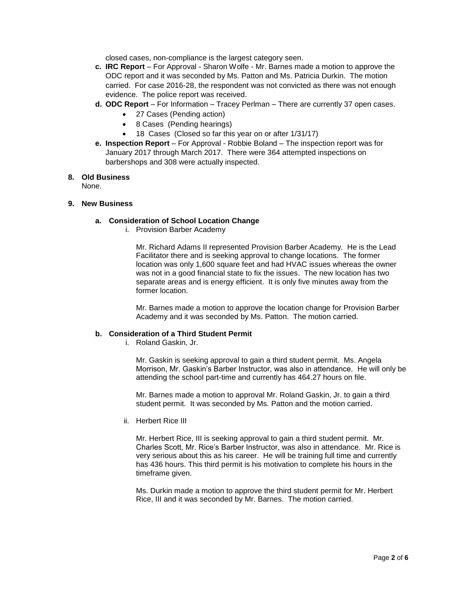closed cases, non-compliance is the largest category seen.

- **c. IRC Report**  For Approval Sharon Wolfe Mr. Barnes made a motion to approve the ODC report and it was seconded by Ms. Patton and Ms. Patricia Durkin. The motion carried. For case 2016-28, the respondent was not convicted as there was not enough evidence. The police report was received.
- **d. ODC Report**  For Information Tracey Perlman There are currently 37 open cases.
	- 27 Cases (Pending action)
	- 8 Cases (Pending hearings)
	- 18 Cases (Closed so far this year on or after 1/31/17)
- **e. Inspection Report** For Approval Robbie Boland The inspection report was for January 2017 through March 2017. There were 364 attempted inspections on barbershops and 308 were actually inspected.

#### **8. Old Business**

None.

#### **9. New Business**

## **a. Consideration of School Location Change**

i. Provision Barber Academy

Mr. Richard Adams II represented Provision Barber Academy. He is the Lead Facilitator there and is seeking approval to change locations. The former location was only 1,600 square feet and had HVAC issues whereas the owner was not in a good financial state to fix the issues. The new location has two separate areas and is energy efficient. It is only five minutes away from the former location.

Mr. Barnes made a motion to approve the location change for Provision Barber Academy and it was seconded by Ms. Patton. The motion carried.

#### **b. Consideration of a Third Student Permit**

i. Roland Gaskin, Jr.

Mr. Gaskin is seeking approval to gain a third student permit. Ms. Angela Morrison, Mr. Gaskin's Barber Instructor, was also in attendance. He will only be attending the school part-time and currently has 464.27 hours on file.

Mr. Barnes made a motion to approval Mr. Roland Gaskin, Jr. to gain a third student permit. It was seconded by Ms. Patton and the motion carried.

ii. Herbert Rice III

Mr. Herbert Rice, III is seeking approval to gain a third student permit. Mr. Charles Scott, Mr. Rice's Barber Instructor, was also in attendance. Mr. Rice is very serious about this as his career. He will be training full time and currently has 436 hours. This third permit is his motivation to complete his hours in the timeframe given.

Ms. Durkin made a motion to approve the third student permit for Mr. Herbert Rice, III and it was seconded by Mr. Barnes. The motion carried.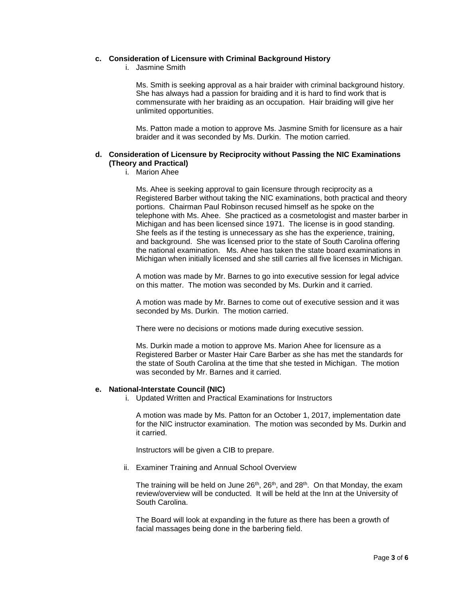#### **c. Consideration of Licensure with Criminal Background History**

i. Jasmine Smith

Ms. Smith is seeking approval as a hair braider with criminal background history. She has always had a passion for braiding and it is hard to find work that is commensurate with her braiding as an occupation. Hair braiding will give her unlimited opportunities.

Ms. Patton made a motion to approve Ms. Jasmine Smith for licensure as a hair braider and it was seconded by Ms. Durkin. The motion carried.

## **d. Consideration of Licensure by Reciprocity without Passing the NIC Examinations (Theory and Practical)**

i. Marion Ahee

Ms. Ahee is seeking approval to gain licensure through reciprocity as a Registered Barber without taking the NIC examinations, both practical and theory portions. Chairman Paul Robinson recused himself as he spoke on the telephone with Ms. Ahee. She practiced as a cosmetologist and master barber in Michigan and has been licensed since 1971. The license is in good standing. She feels as if the testing is unnecessary as she has the experience, training, and background. She was licensed prior to the state of South Carolina offering the national examination. Ms. Ahee has taken the state board examinations in Michigan when initially licensed and she still carries all five licenses in Michigan.

A motion was made by Mr. Barnes to go into executive session for legal advice on this matter. The motion was seconded by Ms. Durkin and it carried.

A motion was made by Mr. Barnes to come out of executive session and it was seconded by Ms. Durkin. The motion carried.

There were no decisions or motions made during executive session.

Ms. Durkin made a motion to approve Ms. Marion Ahee for licensure as a Registered Barber or Master Hair Care Barber as she has met the standards for the state of South Carolina at the time that she tested in Michigan. The motion was seconded by Mr. Barnes and it carried.

## **e. National-Interstate Council (NIC)**

i. Updated Written and Practical Examinations for Instructors

A motion was made by Ms. Patton for an October 1, 2017, implementation date for the NIC instructor examination. The motion was seconded by Ms. Durkin and it carried.

Instructors will be given a CIB to prepare.

ii. Examiner Training and Annual School Overview

The training will be held on June  $26<sup>th</sup>$ ,  $26<sup>th</sup>$ , and  $28<sup>th</sup>$ . On that Monday, the exam review/overview will be conducted. It will be held at the Inn at the University of South Carolina.

The Board will look at expanding in the future as there has been a growth of facial massages being done in the barbering field.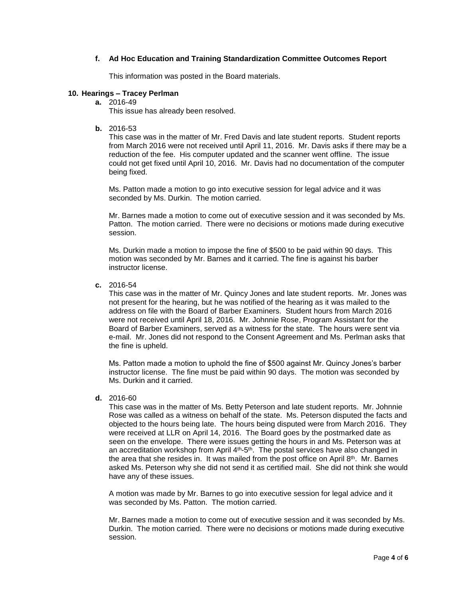## **f. Ad Hoc Education and Training Standardization Committee Outcomes Report**

This information was posted in the Board materials.

#### **10. Hearings – Tracey Perlman**

**a.** 2016-49

This issue has already been resolved.

**b.** 2016-53

This case was in the matter of Mr. Fred Davis and late student reports. Student reports from March 2016 were not received until April 11, 2016. Mr. Davis asks if there may be a reduction of the fee. His computer updated and the scanner went offline. The issue could not get fixed until April 10, 2016. Mr. Davis had no documentation of the computer being fixed.

Ms. Patton made a motion to go into executive session for legal advice and it was seconded by Ms. Durkin. The motion carried.

Mr. Barnes made a motion to come out of executive session and it was seconded by Ms. Patton. The motion carried. There were no decisions or motions made during executive session.

Ms. Durkin made a motion to impose the fine of \$500 to be paid within 90 days. This motion was seconded by Mr. Barnes and it carried. The fine is against his barber instructor license.

**c.** 2016-54

This case was in the matter of Mr. Quincy Jones and late student reports. Mr. Jones was not present for the hearing, but he was notified of the hearing as it was mailed to the address on file with the Board of Barber Examiners. Student hours from March 2016 were not received until April 18, 2016. Mr. Johnnie Rose, Program Assistant for the Board of Barber Examiners, served as a witness for the state. The hours were sent via e-mail. Mr. Jones did not respond to the Consent Agreement and Ms. Perlman asks that the fine is upheld.

Ms. Patton made a motion to uphold the fine of \$500 against Mr. Quincy Jones's barber instructor license. The fine must be paid within 90 days. The motion was seconded by Ms. Durkin and it carried.

**d.** 2016-60

This case was in the matter of Ms. Betty Peterson and late student reports. Mr. Johnnie Rose was called as a witness on behalf of the state. Ms. Peterson disputed the facts and objected to the hours being late. The hours being disputed were from March 2016. They were received at LLR on April 14, 2016. The Board goes by the postmarked date as seen on the envelope. There were issues getting the hours in and Ms. Peterson was at an accreditation workshop from April  $4<sup>th</sup>$ -5<sup>th</sup>. The postal services have also changed in the area that she resides in. It was mailed from the post office on April  $8<sup>th</sup>$ . Mr. Barnes asked Ms. Peterson why she did not send it as certified mail. She did not think she would have any of these issues.

A motion was made by Mr. Barnes to go into executive session for legal advice and it was seconded by Ms. Patton. The motion carried.

Mr. Barnes made a motion to come out of executive session and it was seconded by Ms. Durkin. The motion carried. There were no decisions or motions made during executive session.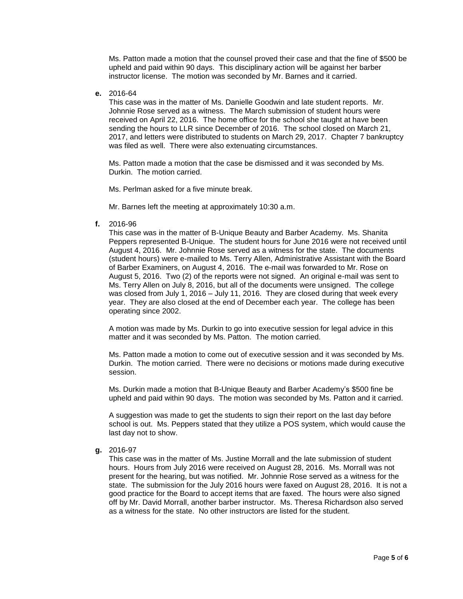Ms. Patton made a motion that the counsel proved their case and that the fine of \$500 be upheld and paid within 90 days. This disciplinary action will be against her barber instructor license. The motion was seconded by Mr. Barnes and it carried.

**e.** 2016-64

This case was in the matter of Ms. Danielle Goodwin and late student reports. Mr. Johnnie Rose served as a witness. The March submission of student hours were received on April 22, 2016. The home office for the school she taught at have been sending the hours to LLR since December of 2016. The school closed on March 21, 2017, and letters were distributed to students on March 29, 2017. Chapter 7 bankruptcy was filed as well. There were also extenuating circumstances.

Ms. Patton made a motion that the case be dismissed and it was seconded by Ms. Durkin. The motion carried.

Ms. Perlman asked for a five minute break.

Mr. Barnes left the meeting at approximately 10:30 a.m.

**f.** 2016-96

This case was in the matter of B-Unique Beauty and Barber Academy. Ms. Shanita Peppers represented B-Unique. The student hours for June 2016 were not received until August 4, 2016. Mr. Johnnie Rose served as a witness for the state. The documents (student hours) were e-mailed to Ms. Terry Allen, Administrative Assistant with the Board of Barber Examiners, on August 4, 2016. The e-mail was forwarded to Mr. Rose on August 5, 2016. Two (2) of the reports were not signed. An original e-mail was sent to Ms. Terry Allen on July 8, 2016, but all of the documents were unsigned. The college was closed from July 1, 2016 – July 11, 2016. They are closed during that week every year. They are also closed at the end of December each year. The college has been operating since 2002.

A motion was made by Ms. Durkin to go into executive session for legal advice in this matter and it was seconded by Ms. Patton. The motion carried.

Ms. Patton made a motion to come out of executive session and it was seconded by Ms. Durkin. The motion carried. There were no decisions or motions made during executive session.

Ms. Durkin made a motion that B-Unique Beauty and Barber Academy's \$500 fine be upheld and paid within 90 days. The motion was seconded by Ms. Patton and it carried.

A suggestion was made to get the students to sign their report on the last day before school is out. Ms. Peppers stated that they utilize a POS system, which would cause the last day not to show.

**g.** 2016-97

This case was in the matter of Ms. Justine Morrall and the late submission of student hours. Hours from July 2016 were received on August 28, 2016. Ms. Morrall was not present for the hearing, but was notified. Mr. Johnnie Rose served as a witness for the state. The submission for the July 2016 hours were faxed on August 28, 2016. It is not a good practice for the Board to accept items that are faxed. The hours were also signed off by Mr. David Morrall, another barber instructor. Ms. Theresa Richardson also served as a witness for the state. No other instructors are listed for the student.